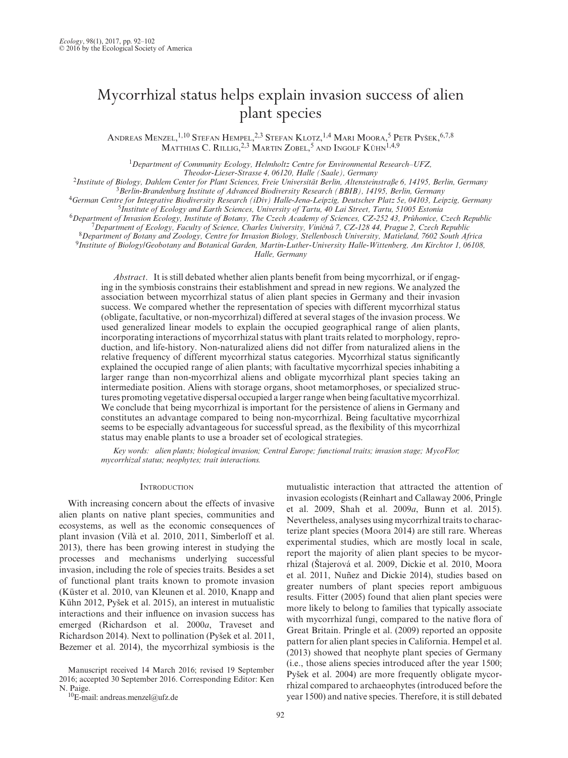# Mycorrhizal status helps explain invasion success of alien plant species

Andreas Menzel, <sup>1,10</sup> Stefan Hempel, <sup>2,3</sup> Stefan Klotz, <sup>1,4</sup> Mari Moora, <sup>5</sup> Petr Pyšek, <sup>6,7,8</sup> Matthias C. Rillig,<sup>2,3</sup> Martin Zobel,<sup>5</sup> and Ingolf Kühn<sup>1,4,9</sup>

<sup>1</sup>*Department of Community Ecology, Helmholtz Centre for Environmental Research–UFZ,* 

- -
- 
- 
- $\begin{array}{c} \textbf{``Institute of Biology, Dahlem Center for Plant Sciences, Freie University, Alternatienstrafe 6, 14195, Berlin, Germany \\ \textbf{``Berman Center for Integrative Biodiversity Research (BBIB), 14195, Berlin, Germany \\ \textbf{``German Center for Integrative Biodiversity Research (iDiv) Halle-Jena-Lepzig, Deutscher Platz 5e, 04103, Leipzig, Germany \\ \textbf{``Institute of Ecology and Earth Sciences, University of Tartu, 40 Lai Street, Tartu, 51005 Estonia \\ \textbf{``Department of Invasion Ecology, Institute of Science, Charles University, Vinién 7, CZ-12844, Prabonice, Czech Republic \\ \textbf{``Department of Ecology, Faculty of Science, Charles University, Vin$

*Halle, Germany*

*Abstract*. It is still debated whether alien plants benefit from being mycorrhizal, or if engaging in the symbiosis constrains their establishment and spread in new regions. We analyzed the association between mycorrhizal status of alien plant species in Germany and their invasion success. We compared whether the representation of species with different mycorrhizal status (obligate, facultative, or non-mycorrhizal) differed at several stages of the invasion process. We used generalized linear models to explain the occupied geographical range of alien plants, incorporating interactions of mycorrhizal status with plant traits related to morphology, reproduction, and life-history. Non-naturalized aliens did not differ from naturalized aliens in the relative frequency of different mycorrhizal status categories. Mycorrhizal status significantly explained the occupied range of alien plants; with facultative mycorrhizal species inhabiting a larger range than non-mycorrhizal aliens and obligate mycorrhizal plant species taking an intermediate position. Aliens with storage organs, shoot metamorphoses, or specialized structures promoting vegetative dispersal occupied a larger range when being facultative mycorrhizal. We conclude that being mycorrhizal is important for the persistence of aliens in Germany and constitutes an advantage compared to being non-mycorrhizal. Being facultative mycorrhizal seems to be especially advantageous for successful spread, as the flexibility of this mycorrhizal status may enable plants to use a broader set of ecological strategies.

*Key words: alien plants; biological invasion; Central Europe; functional traits; invasion stage; MycoFlor; mycorrhizal status; neophytes; trait interactions.*

## **INTRODUCTION**

With increasing concern about the effects of invasive alien plants on native plant species, communities and ecosystems, as well as the economic consequences of plant invasion (Vilà et al. 2010, 2011, Simberloff et al. 2013), there has been growing interest in studying the processes and mechanisms underlying successful invasion, including the role of species traits. Besides a set of functional plant traits known to promote invasion (Küster et al. 2010, van Kleunen et al. 2010, Knapp and Kühn 2012, Pyšek et al. 2015), an interest in mutualistic interactions and their influence on invasion success has emerged (Richardson et al. 2000*a*, Traveset and Richardson 2014). Next to pollination (Pyšek et al. 2011, Bezemer et al. 2014), the mycorrhizal symbiosis is the

Manuscript received 14 March 2016; revised 19 September 2016; accepted 30 September 2016. Corresponding Editor: Ken

 ${}^{10}$ E-mail: [andreas.menzel@ufz.de](mailto:andreas.menzel@ufz.de)

mutualistic interaction that attracted the attention of invasion ecologists (Reinhart and Callaway 2006, Pringle et al. 2009, Shah et al. 2009*a*, Bunn et al. 2015). Nevertheless, analyses using mycorrhizal traits to characterize plant species (Moora 2014) are still rare. Whereas experimental studies, which are mostly local in scale, report the majority of alien plant species to be mycorrhizal (Štajerová et al. 2009, Dickie et al. 2010, Moora et al. 2011, Nuñez and Dickie 2014), studies based on greater numbers of plant species report ambiguous results. Fitter (2005) found that alien plant species were more likely to belong to families that typically associate with mycorrhizal fungi, compared to the native flora of Great Britain. Pringle et al. (2009) reported an opposite pattern for alien plant species in California. Hempel et al. (2013) showed that neophyte plant species of Germany (i.e., those aliens species introduced after the year 1500; Pyšek et al. 2004) are more frequently obligate mycorrhizal compared to archaeophytes (introduced before the year 1500) and native species. Therefore, it is still debated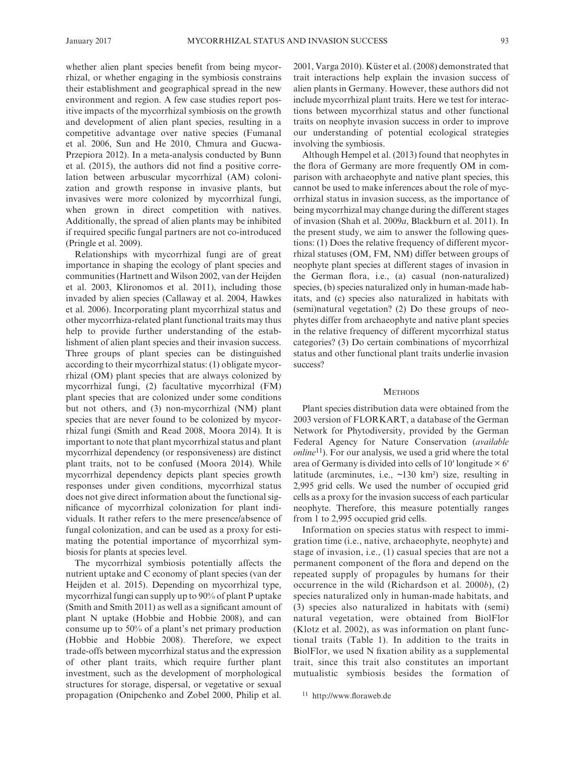whether alien plant species benefit from being mycorrhizal, or whether engaging in the symbiosis constrains their establishment and geographical spread in the new environment and region. A few case studies report positive impacts of the mycorrhizal symbiosis on the growth and development of alien plant species, resulting in a competitive advantage over native species (Fumanal et al. 2006, Sun and He 2010, Chmura and Gucwa-Przepiora 2012). In a meta-analysis conducted by Bunn et al. (2015), the authors did not find a positive correlation between arbuscular mycorrhizal (AM) colonization and growth response in invasive plants, but invasives were more colonized by mycorrhizal fungi, when grown in direct competition with natives. Additionally, the spread of alien plants may be inhibited if required specific fungal partners are not co-introduced (Pringle et al. 2009).

Relationships with mycorrhizal fungi are of great importance in shaping the ecology of plant species and communities (Hartnett and Wilson 2002, van der Heijden et al. 2003, Klironomos et al. 2011), including those invaded by alien species (Callaway et al. 2004, Hawkes et al. 2006). Incorporating plant mycorrhizal status and other mycorrhiza-related plant functional traits may thus help to provide further understanding of the establishment of alien plant species and their invasion success. Three groups of plant species can be distinguished according to their mycorrhizal status: (1) obligate mycorrhizal (OM) plant species that are always colonized by mycorrhizal fungi, (2) facultative mycorrhizal (FM) plant species that are colonized under some conditions but not others, and (3) non-mycorrhizal (NM) plant species that are never found to be colonized by mycorrhizal fungi (Smith and Read 2008, Moora 2014). It is important to note that plant mycorrhizal status and plant mycorrhizal dependency (or responsiveness) are distinct plant traits, not to be confused (Moora 2014). While mycorrhizal dependency depicts plant species growth responses under given conditions, mycorrhizal status does not give direct information about the functional significance of mycorrhizal colonization for plant individuals. It rather refers to the mere presence/absence of fungal colonization, and can be used as a proxy for estimating the potential importance of mycorrhizal symbiosis for plants at species level.

The mycorrhizal symbiosis potentially affects the nutrient uptake and C economy of plant species (van der Heijden et al. 2015). Depending on mycorrhizal type, mycorrhizal fungi can supply up to 90% of plant P uptake (Smith and Smith 2011) as well as a significant amount of plant N uptake (Hobbie and Hobbie 2008), and can consume up to 50% of a plant's net primary production (Hobbie and Hobbie 2008). Therefore, we expect trade-offs between mycorrhizal status and the expression of other plant traits, which require further plant investment, such as the development of morphological structures for storage, dispersal, or vegetative or sexual propagation (Onipchenko and Zobel 2000, Philip et al. 2001, Varga 2010). Küster et al. (2008) demonstrated that trait interactions help explain the invasion success of alien plants in Germany. However, these authors did not include mycorrhizal plant traits. Here we test for interactions between mycorrhizal status and other functional traits on neophyte invasion success in order to improve our understanding of potential ecological strategies involving the symbiosis.

Although Hempel et al. (2013) found that neophytes in the flora of Germany are more frequently OM in comparison with archaeophyte and native plant species, this cannot be used to make inferences about the role of mycorrhizal status in invasion success, as the importance of being mycorrhizal may change during the different stages of invasion (Shah et al. 2009*a*, Blackburn et al. 2011). In the present study, we aim to answer the following questions: (1) Does the relative frequency of different mycorrhizal statuses (OM, FM, NM) differ between groups of neophyte plant species at different stages of invasion in the German flora, i.e., (a) casual (non-naturalized) species, (b) species naturalized only in human-made habitats, and (c) species also naturalized in habitats with (semi)natural vegetation? (2) Do these groups of neophytes differ from archaeophyte and native plant species in the relative frequency of different mycorrhizal status categories? (3) Do certain combinations of mycorrhizal status and other functional plant traits underlie invasion success?

### **METHODS**

Plant species distribution data were obtained from the 2003 version of FLORKART, a database of the German Network for Phytodiversity, provided by the German Federal Agency for Nature Conservation (*available online*11). For our analysis, we used a grid where the total area of Germany is divided into cells of 10' longitude  $\times$  6' latitude (arcminutes, i.e.,  $\sim$ 130 km<sup>2</sup>) size, resulting in 2,995 grid cells. We used the number of occupied grid cells as a proxy for the invasion success of each particular neophyte. Therefore, this measure potentially ranges from 1 to 2,995 occupied grid cells.

Information on species status with respect to immigration time (i.e., native, archaeophyte, neophyte) and stage of invasion, i.e., (1) casual species that are not a permanent component of the flora and depend on the repeated supply of propagules by humans for their occurrence in the wild (Richardson et al. 2000*b*), (2) species naturalized only in human-made habitats, and (3) species also naturalized in habitats with (semi) natural vegetation, were obtained from BiolFlor (Klotz et al. 2002), as was information on plant functional traits (Table 1). In addition to the traits in BiolFlor, we used N fixation ability as a supplemental trait, since this trait also constitutes an important mutualistic symbiosis besides the formation of

<sup>11</sup> <http://www.floraweb.de>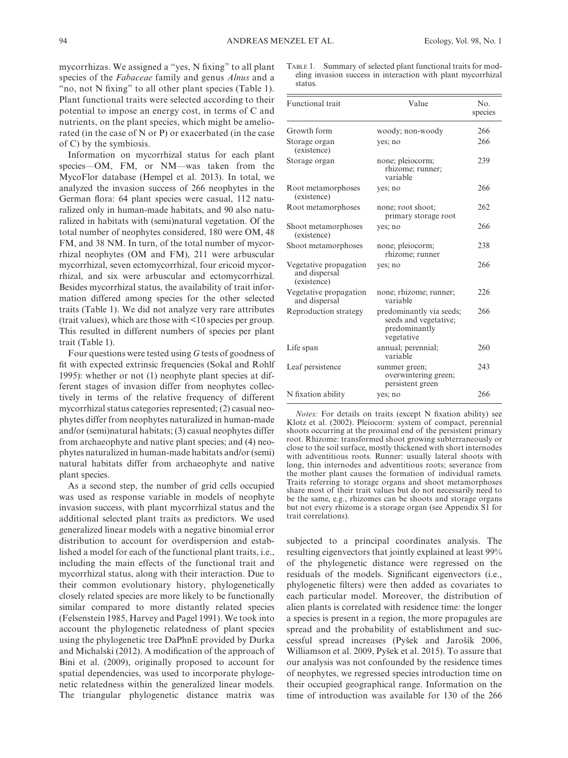mycorrhizas. We assigned a "yes, N fixing" to all plant species of the *Fabaceae* family and genus *Alnus* and a "no, not N fixing" to all other plant species (Table 1). Plant functional traits were selected according to their potential to impose an energy cost, in terms of C and nutrients, on the plant species, which might be ameliorated (in the case of N or P) or exacerbated (in the case of C) by the symbiosis.

Information on mycorrhizal status for each plant species—OM, FM, or NM—was taken from the MycoFlor database (Hempel et al. 2013). In total, we analyzed the invasion success of 266 neophytes in the German flora: 64 plant species were casual, 112 naturalized only in human-made habitats, and 90 also naturalized in habitats with (semi)natural vegetation. Of the total number of neophytes considered, 180 were OM, 48 FM, and 38 NM. In turn, of the total number of mycorrhizal neophytes (OM and FM), 211 were arbuscular mycorrhizal, seven ectomycorrhizal, four ericoid mycorrhizal, and six were arbuscular and ectomycorrhizal. Besides mycorrhizal status, the availability of trait information differed among species for the other selected traits (Table 1). We did not analyze very rare attributes (trait values), which are those with <10 species per group. This resulted in different numbers of species per plant trait (Table 1).

Four questions were tested using *G* tests of goodness of fit with expected extrinsic frequencies (Sokal and Rohlf 1995): whether or not (1) neophyte plant species at different stages of invasion differ from neophytes collectively in terms of the relative frequency of different mycorrhizal status categories represented; (2) casual neophytes differ from neophytes naturalized in human-made and/or (semi)natural habitats; (3) casual neophytes differ from archaeophyte and native plant species; and (4) neophytes naturalized in human-made habitats and/or (semi) natural habitats differ from archaeophyte and native plant species.

As a second step, the number of grid cells occupied was used as response variable in models of neophyte invasion success, with plant mycorrhizal status and the additional selected plant traits as predictors. We used generalized linear models with a negative binomial error distribution to account for overdispersion and established a model for each of the functional plant traits, i.e., including the main effects of the functional trait and mycorrhizal status, along with their interaction. Due to their common evolutionary history, phylogenetically closely related species are more likely to be functionally similar compared to more distantly related species (Felsenstein 1985, Harvey and Pagel 1991). We took into account the phylogenetic relatedness of plant species using the phylogenetic tree DaPhnE provided by Durka and Michalski (2012). A modification of the approach of Bini et al. (2009), originally proposed to account for spatial dependencies, was used to incorporate phylogenetic relatedness within the generalized linear models. The triangular phylogenetic distance matrix was

TABLE 1. Summary of selected plant functional traits for modeling invasion success in interaction with plant mycorrhizal status.

| Functional trait                                       | Value                                                                            | No.<br>species |
|--------------------------------------------------------|----------------------------------------------------------------------------------|----------------|
| Growth form                                            | woody; non-woody                                                                 | 266            |
| Storage organ<br>(existence)                           | yes; no                                                                          | 266            |
| Storage organ                                          | none; pleiocorm;<br>rhizome; runner;<br>variable                                 | 239            |
| Root metamorphoses<br>(existence)                      | yes; no                                                                          | 266            |
| Root metamorphoses                                     | none; root shoot;<br>primary storage root                                        | 262            |
| Shoot metamorphoses<br>(existence)                     | yes; no                                                                          | 266            |
| Shoot metamorphoses                                    | none; pleiocorm;<br>rhizome; runner                                              | 238            |
| Vegetative propagation<br>and dispersal<br>(existence) | yes; no                                                                          | 266            |
| Vegetative propagation<br>and dispersal                | none; rhizome; runner;<br>variable                                               | 226            |
| Reproduction strategy                                  | predominantly via seeds;<br>seeds and vegetative;<br>predominantly<br>vegetative | 266            |
| Life span                                              | annual; perennial;<br>variable                                                   | 260            |
| Leaf persistence                                       | summer green;<br>overwintering green;<br>persistent green                        | 243            |
| N fixation ability                                     | yes; no                                                                          | 266            |

*Notes:* For details on traits (except N fixation ability) see Klotz et al. (2002). Pleiocorm: system of compact, perennial shoots occurring at the proximal end of the persistent primary root. Rhizome: transformed shoot growing subterraneously or close to the soil surface, mostly thickened with short internodes with adventitious roots. Runner: usually lateral shoots with long, thin internodes and adventitious roots; severance from the mother plant causes the formation of individual ramets. Traits referring to storage organs and shoot metamorphoses share most of their trait values but do not necessarily need to be the same, e.g., rhizomes can be shoots and storage organs but not every rhizome is a storage organ (see Appendix S1 for trait correlations).

subjected to a principal coordinates analysis. The resulting eigenvectors that jointly explained at least 99% of the phylogenetic distance were regressed on the residuals of the models. Significant eigenvectors (i.e., phylogenetic filters) were then added as covariates to each particular model. Moreover, the distribution of alien plants is correlated with residence time: the longer a species is present in a region, the more propagules are spread and the probability of establishment and successful spread increases (Pyšek and Jarošík 2006, Williamson et al. 2009, Pyšek et al. 2015). To assure that our analysis was not confounded by the residence times of neophytes, we regressed species introduction time on their occupied geographical range. Information on the time of introduction was available for 130 of the 266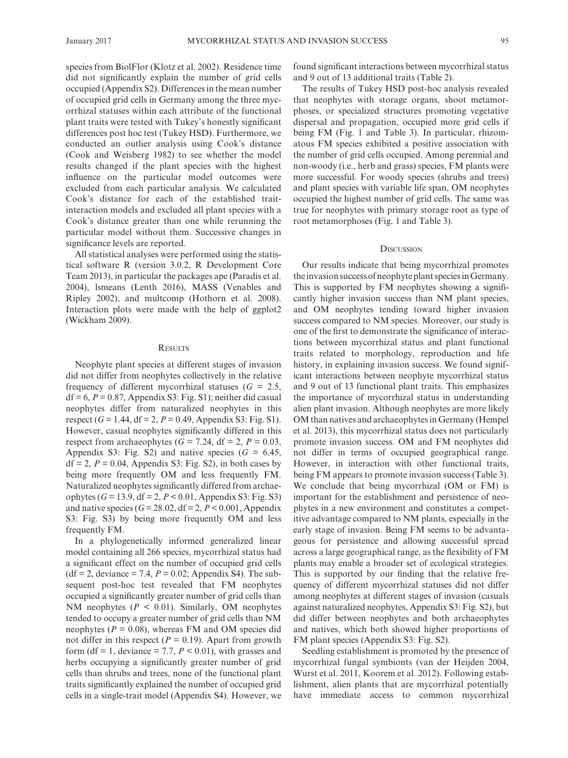species from BiolFlor (Klotz et al. 2002). Residence time did not significantly explain the number of grid cells occupied (Appendix S2). Differences in the mean number of occupied grid cells in Germany among the three mycorrhizal statuses within each attribute of the functional plant traits were tested with Tukey's honestly significant differences post hoc test (Tukey HSD). Furthermore, we conducted an outlier analysis using Cook's distance (Cook and Weisberg 1982) to see whether the model results changed if the plant species with the highest influence on the particular model outcomes were excluded from each particular analysis. We calculated Cook's distance for each of the established traitinteraction models and excluded all plant species with a Cook's distance greater than one while rerunning the particular model without them. Successive changes in significance levels are reported.

All statistical analyses were performed using the statistical software R (version 3.0.2, R Development Core Team 2013), in particular the packages ape (Paradis et al. 2004), lsmeans (Lenth 2016), MASS (Venables and Ripley 2002), and multcomp (Hothorn et al. 2008). Interaction plots were made with the help of ggplot2 (Wickham 2009).

## **RESULTS**

Neophyte plant species at different stages of invasion did not differ from neophytes collectively in the relative frequency of different mycorrhizal statuses  $(G = 2.5,$  $df = 6$ ,  $P = 0.87$ , Appendix S3: Fig. S1); neither did casual neophytes differ from naturalized neophytes in this respect (*G* = 1.44, df = 2, *P* = 0.49, Appendix S3: Fig. S1). However, casual neophytes significantly differed in this respect from archaeophytes ( $G = 7.24$ , df = 2,  $P = 0.03$ , Appendix S3: Fig. S2) and native species  $(G = 6.45,$  $df = 2$ ,  $P = 0.04$ , Appendix S3: Fig. S2), in both cases by being more frequently OM and less frequently FM. Naturalized neophytes significantly differed from archaeophytes (*G* = 13.9, df = 2, *P* < 0.01, Appendix S3: Fig. S3) and native species  $(G = 28.02, df = 2, P < 0.001, Appendix$ S3: Fig. S3) by being more frequently OM and less frequently FM.

In a phylogenetically informed generalized linear model containing all 266 species, mycorrhizal status had a significant effect on the number of occupied grid cells  $(df = 2, deviance = 7.4, P = 0.02; Appendix S4).$  The subsequent post-hoc test revealed that FM neophytes occupied a significantly greater number of grid cells than NM neophytes  $(P < 0.01)$ . Similarly, OM neophytes tended to occupy a greater number of grid cells than NM neophytes ( $P = 0.08$ ), whereas FM and OM species did not differ in this respect ( $P = 0.19$ ). Apart from growth form (df = 1, deviance = 7.7,  $P < 0.01$ ), with grasses and herbs occupying a significantly greater number of grid cells than shrubs and trees, none of the functional plant traits significantly explained the number of occupied grid cells in a single-trait model (Appendix S4). However, we found significant interactions between mycorrhizal status and 9 out of 13 additional traits (Table 2).

The results of Tukey HSD post-hoc analysis revealed that neophytes with storage organs, shoot metamorphoses, or specialized structures promoting vegetative dispersal and propagation, occupied more grid cells if being FM (Fig. 1 and Table 3). In particular, rhizomatous FM species exhibited a positive association with the number of grid cells occupied. Among perennial and non-woody (i.e., herb and grass) species, FM plants were more successful. For woody species (shrubs and trees) and plant species with variable life span, OM neophytes occupied the highest number of grid cells. The same was true for neophytes with primary storage root as type of root metamorphoses (Fig. 1 and Table 3).

## **DISCUSSION**

Our results indicate that being mycorrhizal promotes the invasion success of neophyte plant species in Germany. This is supported by FM neophytes showing a significantly higher invasion success than NM plant species, and OM neophytes tending toward higher invasion success compared to NM species. Moreover, our study is one of the first to demonstrate the significance of interactions between mycorrhizal status and plant functional traits related to morphology, reproduction and life history, in explaining invasion success. We found significant interactions between neophyte mycorrhizal status and 9 out of 13 functional plant traits. This emphasizes the importance of mycorrhizal status in understanding alien plant invasion. Although neophytes are more likely OM than natives and archaeophytes in Germany (Hempel et al. 2013), this mycorrhizal status does not particularly promote invasion success. OM and FM neophytes did not differ in terms of occupied geographical range. However, in interaction with other functional traits, being FM appears to promote invasion success (Table 3). We conclude that being mycorrhizal (OM or FM) is important for the establishment and persistence of neophytes in a new environment and constitutes a competitive advantage compared to NM plants, especially in the early stage of invasion. Being FM seems to be advantageous for persistence and allowing successful spread across a large geographical range, as the flexibility of FM plants may enable a broader set of ecological strategies. This is supported by our finding that the relative frequency of different mycorrhizal statuses did not differ among neophytes at different stages of invasion (casuals against naturalized neophytes, Appendix S3: Fig. S2), but did differ between neophytes and both archaeophytes and natives, which both showed higher proportions of FM plant species (Appendix S3: Fig. S2).

Seedling establishment is promoted by the presence of mycorrhizal fungal symbionts (van der Heijden 2004, Wurst et al. 2011, Koorem et al. 2012). Following establishment, alien plants that are mycorrhizal potentially have immediate access to common mycorrhizal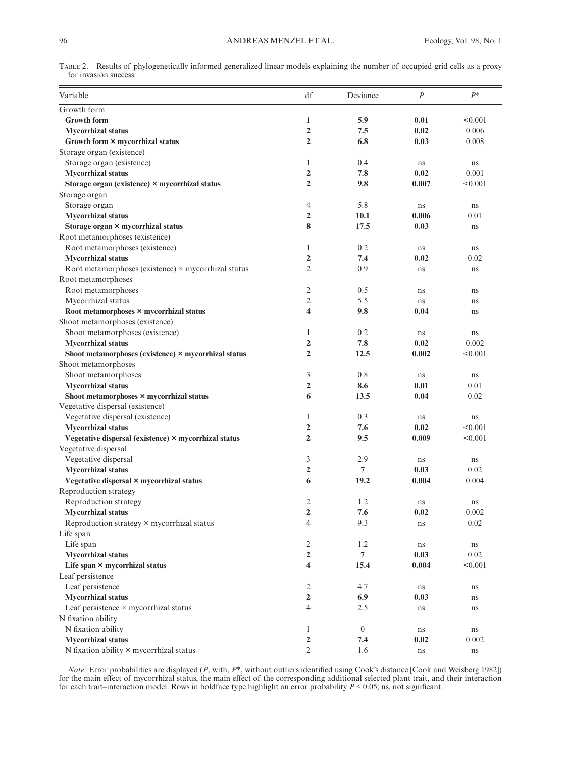|                       | TABLE 2. Results of phylogenetically informed generalized linear models explaining the number of occupied grid cells as a proxy |  |  |  |  |
|-----------------------|---------------------------------------------------------------------------------------------------------------------------------|--|--|--|--|
| for invasion success. |                                                                                                                                 |  |  |  |  |

| Variable                                                   | df                      | Deviance       | $\cal P$ | $P^*$   |
|------------------------------------------------------------|-------------------------|----------------|----------|---------|
| Growth form                                                |                         |                |          |         |
| <b>Growth form</b>                                         | $\mathbf{1}$            | 5.9            | 0.01     | < 0.001 |
| <b>Mycorrhizal status</b>                                  | $\overline{2}$          | 7.5            | 0.02     | 0.006   |
| Growth form × mycorrhizal status                           | $\overline{2}$          | 6.8            | 0.03     | 0.008   |
| Storage organ (existence)                                  |                         |                |          |         |
| Storage organ (existence)                                  | $\mathbf{1}$            | 0.4            | ns       | ns      |
| <b>Mycorrhizal status</b>                                  | $\overline{2}$          | 7.8            | 0.02     | 0.001   |
| Storage organ (existence) × mycorrhizal status             | $\overline{2}$          | 9.8            | 0.007    | < 0.001 |
| Storage organ                                              |                         |                |          |         |
| Storage organ                                              | 4                       | 5.8            | ns       | ns      |
| <b>Mycorrhizal status</b>                                  | $\overline{2}$          | 10.1           | 0.006    | 0.01    |
| Storage organ × mycorrhizal status                         | 8                       | 17.5           | 0.03     | ns      |
| Root metamorphoses (existence)                             |                         |                |          |         |
| Root metamorphoses (existence)                             | $\mathbf{1}$            | 0.2            | ns       | ns      |
| <b>Mycorrhizal</b> status                                  | $\overline{2}$          | 7.4            | 0.02     | 0.02    |
| Root metamorphoses (existence) $\times$ mycorrhizal status | $\mathfrak{2}$          | 0.9            | ns       | ns      |
| Root metamorphoses                                         |                         |                |          |         |
| Root metamorphoses                                         | 2                       | 0.5            | ns       | ns      |
| Mycorrhizal status                                         | $\overline{2}$          | 5.5            | ns       | ns      |
| Root metamorphoses × mycorrhizal status                    | $\overline{\mathbf{4}}$ | 9.8            | 0.04     | ns      |
| Shoot metamorphoses (existence)                            |                         |                |          |         |
| Shoot metamorphoses (existence)                            | 1                       | 0.2            | ns       | ns      |
| <b>Mycorrhizal</b> status                                  | $\overline{2}$          | 7.8            | 0.02     | 0.002   |
| Shoot metamorphoses (existence) × mycorrhizal status       | $\overline{2}$          | 12.5           | 0.002    | < 0.001 |
| Shoot metamorphoses                                        |                         |                |          |         |
| Shoot metamorphoses                                        | 3                       | 0.8            | ns       | ns      |
| <b>Mycorrhizal status</b>                                  | $\overline{2}$          | 8.6            | 0.01     | 0.01    |
| Shoot metamorphoses × mycorrhizal status                   | 6                       | 13.5           | 0.04     | 0.02    |
| Vegetative dispersal (existence)                           |                         |                |          |         |
| Vegetative dispersal (existence)                           | 1                       | 0.3            | ns       | ns      |
| <b>Mycorrhizal status</b>                                  | $\overline{2}$          | 7.6            | 0.02     | < 0.001 |
| Vegetative dispersal (existence) × mycorrhizal status      | $\overline{2}$          | 9.5            | 0.009    | < 0.001 |
| Vegetative dispersal                                       |                         |                |          |         |
| Vegetative dispersal                                       | 3                       | 2.9            | ns       | ns      |
| <b>Mycorrhizal status</b>                                  | $\mathbf{2}$            | $\overline{7}$ | 0.03     | 0.02    |
| Vegetative dispersal × mycorrhizal status                  | 6                       | 19.2           | 0.004    | 0.004   |
| Reproduction strategy                                      |                         |                |          |         |
| Reproduction strategy                                      | 2                       | 1.2            | ns       | ns      |
| <b>Mycorrhizal</b> status                                  | 2                       | 7.6            | 0.02     | 0.002   |
| Reproduction strategy × mycorrhizal status                 | 4                       | 9.3            | ns       | 0.02    |
| Life span                                                  |                         |                |          |         |
| Life span                                                  | 2                       | 1.2            | ns       | ns      |
| <b>Mycorrhizal status</b>                                  | 2                       | $\overline{7}$ | 0.03     | 0.02    |
| Life span × mycorrhizal status                             | $\overline{\mathbf{4}}$ | 15.4           | 0.004    | < 0.001 |
| Leaf persistence                                           |                         |                |          |         |
| Leaf persistence                                           | $\overline{2}$          | 4.7            | ns       | ns      |
| <b>Mycorrhizal status</b>                                  | $\overline{2}$          | 6.9            | 0.03     | ns      |
| Leaf persistence × mycorrhizal status                      | 4                       | 2.5            | ns       | ns      |
| N fixation ability                                         |                         |                |          |         |
| N fixation ability                                         | $\mathbf{1}$            | $\overline{0}$ | ns       | ns      |
| <b>Mycorrhizal status</b>                                  | $\overline{2}$          | 7.4            | 0.02     | 0.002   |
| N fixation ability $\times$ my<br>corrhizal status         | 2                       | 1.6            | ns       | ns      |

*Note:* Error probabilities are displayed (*P*, with, *P*\*, without outliers identified using Cook's distance [Cook and Weisberg 1982]) for the main effect of mycorrhizal status, the main effect of the corresponding additional selected plant trait, and their interaction for each trait–interaction model. Rows in boldface type highlight an error probability  $P \leq 0.05$ ; ns, not significant.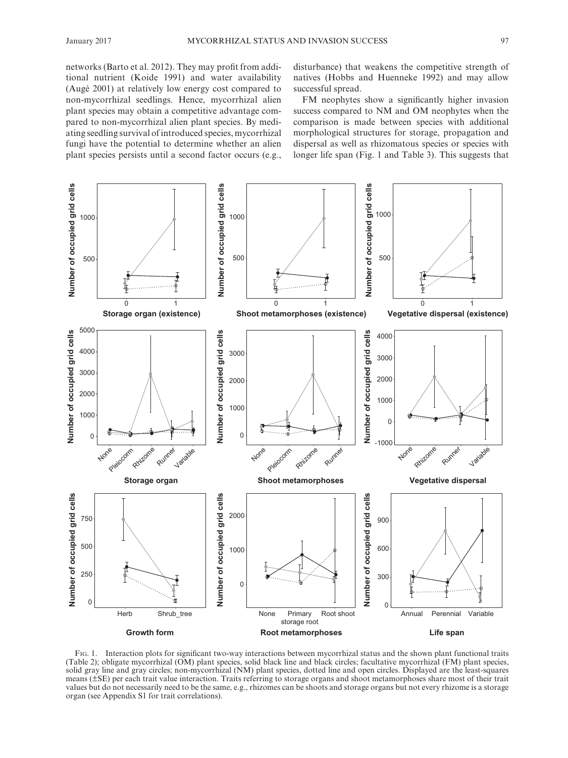networks (Barto et al. 2012). They may profit from additional nutrient (Koide 1991) and water availability (Augé 2001) at relatively low energy cost compared to non-mycorrhizal seedlings. Hence, mycorrhizal alien plant species may obtain a competitive advantage compared to non-mycorrhizal alien plant species. By mediating seedling survival of introduced species, mycorrhizal fungi have the potential to determine whether an alien plant species persists until a second factor occurs (e.g., disturbance) that weakens the competitive strength of natives (Hobbs and Huenneke 1992) and may allow successful spread.

FM neophytes show a significantly higher invasion success compared to NM and OM neophytes when the comparison is made between species with additional morphological structures for storage, propagation and dispersal as well as rhizomatous species or species with longer life span (Fig. 1 and Table 3). This suggests that



Fig. 1. Interaction plots for significant two-way interactions between mycorrhizal status and the shown plant functional traits (Table 2); obligate mycorrhizal (OM) plant species, solid black line and black circles; facultative mycorrhizal (FM) plant species, solid gray line and gray circles; non-mycorrhizal (NM) plant species, dotted line and open circles. Displayed are the least-squares means (±SE) per each trait value interaction. Traits referring to storage organs and shoot metamorphoses share most of their trait values but do not necessarily need to be the same, e.g., rhizomes can be shoots and storage organs but not every rhizome is a storage organ (see Appendix S1 for trait correlations).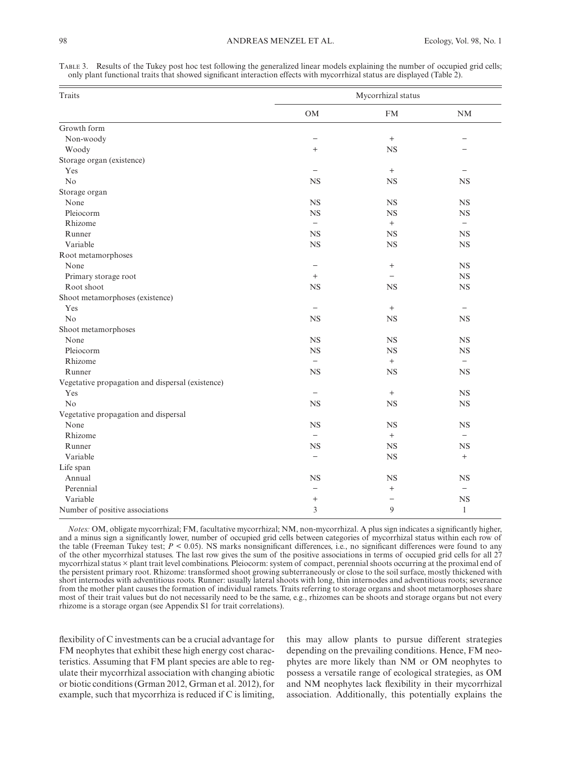Table 3. Results of the Tukey post hoc test following the generalized linear models explaining the number of occupied grid cells; only plant functional traits that showed significant interaction effects with mycorrhizal status are displayed (Table 2).

| <b>Traits</b>                                    | Mycorrhizal status       |                          |                          |  |
|--------------------------------------------------|--------------------------|--------------------------|--------------------------|--|
|                                                  | <b>OM</b>                | <b>FM</b>                | NM                       |  |
| Growth form                                      |                          |                          |                          |  |
| Non-woody                                        | $\overline{\phantom{0}}$ | $\qquad \qquad +$        |                          |  |
| Woody                                            | $\qquad \qquad +$        | $_{\rm NS}$              |                          |  |
| Storage organ (existence)                        |                          |                          |                          |  |
| Yes                                              |                          | $^{+}$                   |                          |  |
| No                                               | <b>NS</b>                | <b>NS</b>                | <b>NS</b>                |  |
| Storage organ                                    |                          |                          |                          |  |
| None                                             | <b>NS</b>                | <b>NS</b>                | <b>NS</b>                |  |
| Pleiocorm                                        | <b>NS</b>                | <b>NS</b>                | <b>NS</b>                |  |
| Rhizome                                          | $\overline{\phantom{a}}$ | $^+$                     | $\qquad \qquad -$        |  |
| Runner                                           | <b>NS</b>                | <b>NS</b>                | <b>NS</b>                |  |
| Variable                                         | <b>NS</b>                | <b>NS</b>                | <b>NS</b>                |  |
| Root metamorphoses                               |                          |                          |                          |  |
| None                                             | —                        | $^{+}$                   | <b>NS</b>                |  |
| Primary storage root                             | $^{+}$                   |                          | <b>NS</b>                |  |
| Root shoot                                       | <b>NS</b>                | <b>NS</b>                | <b>NS</b>                |  |
| Shoot metamorphoses (existence)                  |                          |                          |                          |  |
| Yes                                              | $\overline{\phantom{0}}$ | $^{+}$                   | $\overline{\phantom{0}}$ |  |
| No                                               | <b>NS</b>                | <b>NS</b>                | <b>NS</b>                |  |
| Shoot metamorphoses                              |                          |                          |                          |  |
| None                                             | <b>NS</b>                | <b>NS</b>                | <b>NS</b>                |  |
| Pleiocorm                                        | <b>NS</b>                | <b>NS</b>                | <b>NS</b>                |  |
| Rhizome                                          | $\equiv$                 | $\qquad \qquad +$        | $\qquad \qquad -$        |  |
| Runner                                           | <b>NS</b>                | $_{\rm NS}$              | <b>NS</b>                |  |
| Vegetative propagation and dispersal (existence) |                          |                          |                          |  |
| Yes                                              | $\equiv$                 | $^{+}$                   | <b>NS</b>                |  |
| N <sub>o</sub>                                   | <b>NS</b>                | <b>NS</b>                | <b>NS</b>                |  |
| Vegetative propagation and dispersal             |                          |                          |                          |  |
| None                                             | <b>NS</b>                | <b>NS</b>                | <b>NS</b>                |  |
| Rhizome                                          | $\overline{\phantom{0}}$ | $^+$                     | $\overline{\phantom{0}}$ |  |
| Runner                                           | <b>NS</b>                | <b>NS</b>                | <b>NS</b>                |  |
| Variable                                         | $\equiv$                 | <b>NS</b>                | $^{+}$                   |  |
| Life span                                        |                          |                          |                          |  |
| Annual                                           | <b>NS</b>                | <b>NS</b>                | <b>NS</b>                |  |
| Perennial                                        | $\equiv$                 | $^{+}$                   | $\overline{\phantom{0}}$ |  |
| Variable                                         | $^{+}$                   | $\overline{\phantom{0}}$ | <b>NS</b>                |  |
| Number of positive associations                  | 3                        | 9                        | $\mathbf{1}$             |  |

*Notes:* OM, obligate mycorrhizal; FM, facultative mycorrhizal; NM, non-mycorrhizal. A plus sign indicates a significantly higher, and a minus sign a significantly lower, number of occupied grid cells between categories of mycorrhizal status within each row of the table (Freeman Tukey test; *P* < 0.05). NS marks nonsignificant differences, i.e., no significant differences were found to any of the other mycorrhizal statuses. The last row gives the sum of the positive associations in terms of occupied grid cells for all 27 mycorrhizal status × plant trait level combinations. Pleiocorm: system of compact, perennial shoots occurring at the proximal end of the persistent primary root. Rhizome: transformed shoot growing subterraneously or close to the soil surface, mostly thickened with short internodes with adventitious roots. Runner: usually lateral shoots with long, thin internodes and adventitious roots; severance from the mother plant causes the formation of individual ramets. Traits referring to storage organs and shoot metamorphoses share most of their trait values but do not necessarily need to be the same, e.g., rhizomes can be shoots and storage organs but not every rhizome is a storage organ (see Appendix S1 for trait correlations).

flexibility of C investments can be a crucial advantage for FM neophytes that exhibit these high energy cost characteristics. Assuming that FM plant species are able to regulate their mycorrhizal association with changing abiotic or biotic conditions (Grman 2012, Grman et al. 2012), for example, such that mycorrhiza is reduced if C is limiting, this may allow plants to pursue different strategies depending on the prevailing conditions. Hence, FM neophytes are more likely than NM or OM neophytes to possess a versatile range of ecological strategies, as OM and NM neophytes lack flexibility in their mycorrhizal association. Additionally, this potentially explains the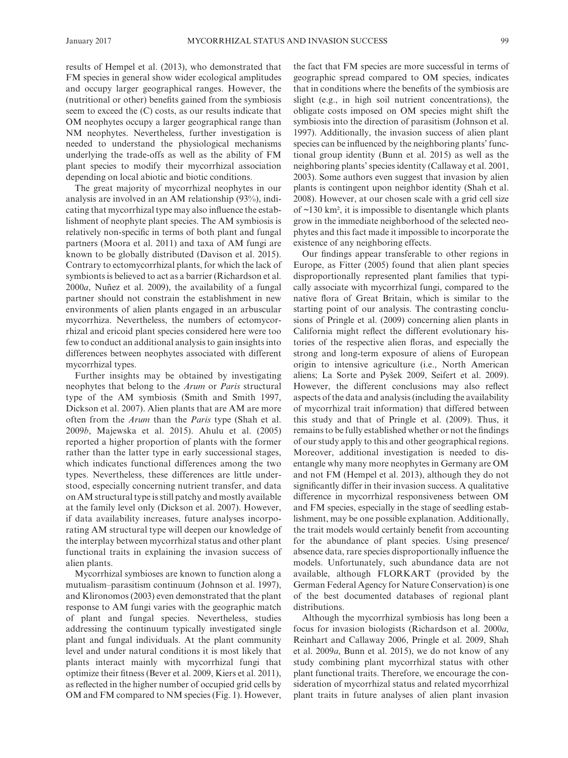results of Hempel et al. (2013), who demonstrated that FM species in general show wider ecological amplitudes and occupy larger geographical ranges. However, the (nutritional or other) benefits gained from the symbiosis seem to exceed the (C) costs, as our results indicate that OM neophytes occupy a larger geographical range than NM neophytes. Nevertheless, further investigation is needed to understand the physiological mechanisms underlying the trade-offs as well as the ability of FM plant species to modify their mycorrhizal association depending on local abiotic and biotic conditions.

The great majority of mycorrhizal neophytes in our analysis are involved in an AM relationship (93%), indicating that mycorrhizal type may also influence the establishment of neophyte plant species. The AM symbiosis is relatively non-specific in terms of both plant and fungal partners (Moora et al. 2011) and taxa of AM fungi are known to be globally distributed (Davison et al. 2015). Contrary to ectomycorrhizal plants, for which the lack of symbionts is believed to act as a barrier (Richardson et al. 2000*a*, Nuñez et al. 2009), the availability of a fungal partner should not constrain the establishment in new environments of alien plants engaged in an arbuscular mycorrhiza. Nevertheless, the numbers of ectomycorrhizal and ericoid plant species considered here were too few to conduct an additional analysis to gain insights into differences between neophytes associated with different mycorrhizal types.

Further insights may be obtained by investigating neophytes that belong to the *Arum* or *Paris* structural type of the AM symbiosis (Smith and Smith 1997, Dickson et al. 2007). Alien plants that are AM are more often from the *Arum* than the *Paris* type (Shah et al. 2009*b*, Majewska et al. 2015). Ahulu et al. (2005) reported a higher proportion of plants with the former rather than the latter type in early successional stages, which indicates functional differences among the two types. Nevertheless, these differences are little understood, especially concerning nutrient transfer, and data on AM structural type is still patchy and mostly available at the family level only (Dickson et al. 2007). However, if data availability increases, future analyses incorporating AM structural type will deepen our knowledge of the interplay between mycorrhizal status and other plant functional traits in explaining the invasion success of alien plants.

Mycorrhizal symbioses are known to function along a mutualism–parasitism continuum (Johnson et al. 1997), and Klironomos (2003) even demonstrated that the plant response to AM fungi varies with the geographic match of plant and fungal species. Nevertheless, studies addressing the continuum typically investigated single plant and fungal individuals. At the plant community level and under natural conditions it is most likely that plants interact mainly with mycorrhizal fungi that optimize their fitness (Bever et al. 2009, Kiers et al. 2011), as reflected in the higher number of occupied grid cells by OM and FM compared to NM species (Fig. 1). However, the fact that FM species are more successful in terms of geographic spread compared to OM species, indicates that in conditions where the benefits of the symbiosis are slight (e.g., in high soil nutrient concentrations), the obligate costs imposed on OM species might shift the symbiosis into the direction of parasitism (Johnson et al. 1997). Additionally, the invasion success of alien plant species can be influenced by the neighboring plants' functional group identity (Bunn et al. 2015) as well as the neighboring plants' species identity (Callaway et al. 2001, 2003). Some authors even suggest that invasion by alien plants is contingent upon neighbor identity (Shah et al. 2008). However, at our chosen scale with a grid cell size of  $\sim$ 130 km<sup>2</sup>, it is impossible to disentangle which plants grow in the immediate neighborhood of the selected neophytes and this fact made it impossible to incorporate the existence of any neighboring effects.

Our findings appear transferable to other regions in Europe, as Fitter (2005) found that alien plant species disproportionally represented plant families that typically associate with mycorrhizal fungi, compared to the native flora of Great Britain, which is similar to the starting point of our analysis. The contrasting conclusions of Pringle et al. (2009) concerning alien plants in California might reflect the different evolutionary histories of the respective alien floras, and especially the strong and long-term exposure of aliens of European origin to intensive agriculture (i.e., North American aliens; La Sorte and Pyšek 2009, Seifert et al. 2009). However, the different conclusions may also reflect aspects of the data and analysis (including the availability of mycorrhizal trait information) that differed between this study and that of Pringle et al. (2009). Thus, it remains to be fully established whether or not the findings of our study apply to this and other geographical regions. Moreover, additional investigation is needed to disentangle why many more neophytes in Germany are OM and not FM (Hempel et al. 2013), although they do not significantly differ in their invasion success. A qualitative difference in mycorrhizal responsiveness between OM and FM species, especially in the stage of seedling establishment, may be one possible explanation. Additionally, the trait models would certainly benefit from accounting for the abundance of plant species. Using presence/ absence data, rare species disproportionally influence the models. Unfortunately, such abundance data are not available, although FLORKART (provided by the German Federal Agency for Nature Conservation) is one of the best documented databases of regional plant distributions.

Although the mycorrhizal symbiosis has long been a focus for invasion biologists (Richardson et al. 2000*a*, Reinhart and Callaway 2006, Pringle et al. 2009, Shah et al. 2009*a*, Bunn et al. 2015), we do not know of any study combining plant mycorrhizal status with other plant functional traits. Therefore, we encourage the consideration of mycorrhizal status and related mycorrhizal plant traits in future analyses of alien plant invasion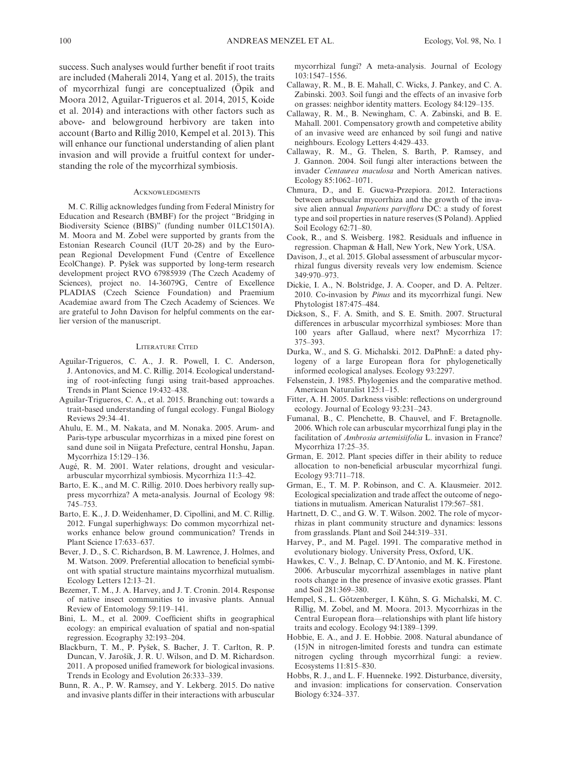success. Such analyses would further benefit if root traits are included (Maherali 2014, Yang et al. 2015), the traits of mycorrhizal fungi are conceptualized (Öpik and Moora 2012, Aguilar-Trigueros et al. 2014, 2015, Koide et al. 2014) and interactions with other factors such as above- and belowground herbivory are taken into account (Barto and Rillig 2010, Kempel et al. 2013). This will enhance our functional understanding of alien plant invasion and will provide a fruitful context for understanding the role of the mycorrhizal symbiosis.

#### **ACKNOWLEDGMENTS**

M. C. Rillig acknowledges funding from Federal Ministry for Education and Research (BMBF) for the project "Bridging in Biodiversity Science (BIBS)" (funding number 01LC1501A). M. Moora and M. Zobel were supported by grants from the Estonian Research Council (IUT 20-28) and by the European Regional Development Fund (Centre of Excellence EcolChange). P. Pyšek was supported by long-term research development project RVO 67985939 (The Czech Academy of Sciences), project no. 14-36079G, Centre of Excellence PLADIAS (Czech Science Foundation) and Praemium Academiae award from The Czech Academy of Sciences. We are grateful to John Davison for helpful comments on the earlier version of the manuscript.

### Literature Cited

- Aguilar-Trigueros, C. A., J. R. Powell, I. C. Anderson, J. Antonovics, and M. C. Rillig. 2014. Ecological understanding of root-infecting fungi using trait-based approaches. Trends in Plant Science 19:432–438.
- Aguilar-Trigueros, C. A., et al. 2015. Branching out: towards a trait-based understanding of fungal ecology. Fungal Biology Reviews 29:34–41.
- Ahulu, E. M., M. Nakata, and M. Nonaka. 2005. Arum- and Paris-type arbuscular mycorrhizas in a mixed pine forest on sand dune soil in Niigata Prefecture, central Honshu, Japan. Mycorrhiza 15:129–136.
- Augé, R. M. 2001. Water relations, drought and vesiculararbuscular mycorrhizal symbiosis. Mycorrhiza 11:3–42.
- Barto, E. K., and M. C. Rillig. 2010. Does herbivory really suppress mycorrhiza? A meta-analysis. Journal of Ecology 98: 745–753.
- Barto, E. K., J. D. Weidenhamer, D. Cipollini, and M. C. Rillig. 2012. Fungal superhighways: Do common mycorrhizal networks enhance below ground communication? Trends in Plant Science 17:633–637.
- Bever, J. D., S. C. Richardson, B. M. Lawrence, J. Holmes, and M. Watson. 2009. Preferential allocation to beneficial symbiont with spatial structure maintains mycorrhizal mutualism. Ecology Letters 12:13–21.
- Bezemer, T. M., J. A. Harvey, and J. T. Cronin. 2014. Response of native insect communities to invasive plants. Annual Review of Entomology 59:119–141.
- Bini, L. M., et al. 2009. Coefficient shifts in geographical ecology: an empirical evaluation of spatial and non-spatial regression. Ecography 32:193–204.
- Blackburn, T. M., P. Pyšek, S. Bacher, J. T. Carlton, R. P. Duncan, V. Jarošík, J. R. U. Wilson, and D. M. Richardson. 2011. A proposed unified framework for biological invasions. Trends in Ecology and Evolution 26:333–339.
- Bunn, R. A., P. W. Ramsey, and Y. Lekberg. 2015. Do native and invasive plants differ in their interactions with arbuscular

mycorrhizal fungi? A meta-analysis. Journal of Ecology 103:1547–1556.

- Callaway, R. M., B. E. Mahall, C. Wicks, J. Pankey, and C. A. Zabinski. 2003. Soil fungi and the effects of an invasive forb on grasses: neighbor identity matters. Ecology 84:129–135.
- Callaway, R. M., B. Newingham, C. A. Zabinski, and B. E. Mahall. 2001. Compensatory growth and competetive ability of an invasive weed are enhanced by soil fungi and native neighbours. Ecology Letters 4:429–433.
- Callaway, R. M., G. Thelen, S. Barth, P. Ramsey, and J. Gannon. 2004. Soil fungi alter interactions between the invader *Centaurea maculosa* and North American natives. Ecology 85:1062–1071.
- Chmura, D., and E. Gucwa-Przepiora. 2012. Interactions between arbuscular mycorrhiza and the growth of the invasive alien annual *Impatiens parviflora* DC: a study of forest type and soil properties in nature reserves (S Poland). Applied Soil Ecology 62:71–80.
- Cook, R., and S. Weisberg. 1982. Residuals and influence in regression. Chapman & Hall, New York, New York, USA.
- Davison, J., et al. 2015. Global assessment of arbuscular mycorrhizal fungus diversity reveals very low endemism. Science 349:970–973.
- Dickie, I. A., N. Bolstridge, J. A. Cooper, and D. A. Peltzer. 2010. Co-invasion by *Pinus* and its mycorrhizal fungi. New Phytologist 187:475–484.
- Dickson, S., F. A. Smith, and S. E. Smith. 2007. Structural differences in arbuscular mycorrhizal symbioses: More than 100 years after Gallaud, where next? Mycorrhiza 17: 375–393.
- Durka, W., and S. G. Michalski. 2012. DaPhnE: a dated phylogeny of a large European flora for phylogenetically informed ecological analyses. Ecology 93:2297.
- Felsenstein, J. 1985. Phylogenies and the comparative method. American Naturalist 125:1–15.
- Fitter, A. H. 2005. Darkness visible: reflections on underground ecology. Journal of Ecology 93:231–243.
- Fumanal, B., C. Plenchette, B. Chauvel, and F. Bretagnolle. 2006. Which role can arbuscular mycorrhizal fungi play in the facilitation of *Ambrosia artemisiifolia* L. invasion in France? Mycorrhiza 17:25–35.
- Grman, E. 2012. Plant species differ in their ability to reduce allocation to non-beneficial arbuscular mycorrhizal fungi. Ecology 93:711–718.
- Grman, E., T. M. P. Robinson, and C. A. Klausmeier. 2012. Ecological specialization and trade affect the outcome of negotiations in mutualism. American Naturalist 179:567–581.
- Hartnett, D. C., and G. W. T. Wilson. 2002. The role of mycorrhizas in plant community structure and dynamics: lessons from grasslands. Plant and Soil 244:319–331.
- Harvey, P., and M. Pagel. 1991. The comparative method in evolutionary biology. University Press, Oxford, UK.
- Hawkes, C. V., J. Belnap, C. D'Antonio, and M. K. Firestone. 2006. Arbuscular mycorrhizal assemblages in native plant roots change in the presence of invasive exotic grasses. Plant and Soil 281:369–380.
- Hempel, S., L. Götzenberger, I. Kühn, S. G. Michalski, M. C. Rillig, M. Zobel, and M. Moora. 2013. Mycorrhizas in the Central European flora—relationships with plant life history traits and ecology. Ecology 94:1389–1399.
- Hobbie, E. A., and J. E. Hobbie. 2008. Natural abundance of (15)N in nitrogen-limited forests and tundra can estimate nitrogen cycling through mycorrhizal fungi: a review. Ecosystems 11:815–830.
- Hobbs, R. J., and L. F. Huenneke. 1992. Disturbance, diversity, and invasion: implications for conservation. Conservation Biology 6:324–337.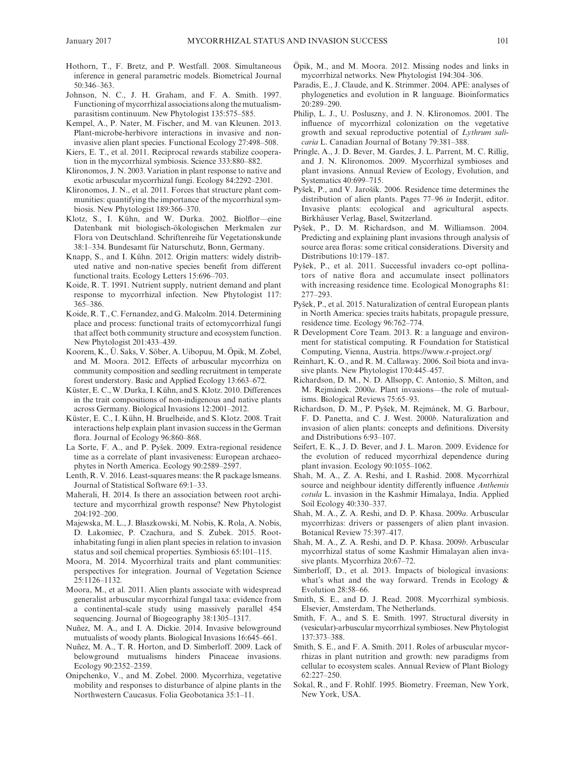- Hothorn, T., F. Bretz, and P. Westfall. 2008. Simultaneous inference in general parametric models. Biometrical Journal 50:346–363.
- Johnson, N. C., J. H. Graham, and F. A. Smith. 1997. Functioning of mycorrhizal associations along the mutualismparasitism continuum. New Phytologist 135:575–585.
- Kempel, A., P. Nater, M. Fischer, and M. van Kleunen. 2013. Plant-microbe-herbivore interactions in invasive and noninvasive alien plant species. Functional Ecology 27:498–508.
- Kiers, E. T., et al. 2011. Reciprocal rewards stabilize cooperation in the mycorrhizal symbiosis. Science 333:880–882.
- Klironomos, J. N. 2003. Variation in plant response to native and exotic arbuscular mycorrhizal fungi. Ecology 84:2292–2301.
- Klironomos, J. N., et al. 2011. Forces that structure plant communities: quantifying the importance of the mycorrhizal symbiosis. New Phytologist 189:366–370.
- Klotz, S., I. Kühn, and W. Durka. 2002. Biolflor—eine Datenbank mit biologisch-ökologischen Merkmalen zur Flora von Deutschland. Schriftenreihe für Vegetationskunde 38:1–334. Bundesamt für Naturschutz, Bonn, Germany.
- Knapp, S., and I. Kühn. 2012. Origin matters: widely distributed native and non-native species benefit from different functional traits. Ecology Letters 15:696–703.
- Koide, R. T. 1991. Nutrient supply, nutrient demand and plant response to mycorrhizal infection. New Phytologist 117: 365–386.
- Koide, R. T., C. Fernandez, and G. Malcolm. 2014. Determining place and process: functional traits of ectomycorrhizal fungi that affect both community structure and ecosystem function. New Phytologist 201:433–439.
- Koorem, K., Ü. Saks, V. Söber, A. Uibopuu, M. Öpik, M. Zobel, and M. Moora. 2012. Effects of arbuscular mycorrhiza on community composition and seedling recruitment in temperate forest understory. Basic and Applied Ecology 13:663–672.
- Küster, E. C., W. Durka, I. Kühn, and S. Klotz. 2010. Differences in the trait compositions of non-indigenous and native plants across Germany. Biological Invasions 12:2001–2012.
- Küster, E. C., I. Kühn, H. Bruelheide, and S. Klotz. 2008. Trait interactions help explain plant invasion success in the German flora. Journal of Ecology 96:860–868.
- La Sorte, F. A., and P. Pyšek. 2009. Extra-regional residence time as a correlate of plant invasiveness: European archaeophytes in North America. Ecology 90:2589–2597.
- Lenth, R. V. 2016. Least-squares means: the R package lsmeans. Journal of Statistical Software 69:1–33.
- Maherali, H. 2014. Is there an association between root architecture and mycorrhizal growth response? New Phytologist 204:192–200.
- Majewska, M. L., J. Błaszkowski, M. Nobis, K. Rola, A. Nobis, D. Łakomiec, P. Czachura, and S. Zubek. 2015. Rootinhabitating fungi in alien plant species in relation to invasion status and soil chemical properties. Symbiosis 65:101–115.
- Moora, M. 2014. Mycorrhizal traits and plant communities: perspectives for integration. Journal of Vegetation Science 25:1126–1132.
- Moora, M., et al. 2011. Alien plants associate with widespread generalist arbuscular mycorrhizal fungal taxa: evidence from a continental-scale study using massively parallel 454 sequencing. Journal of Biogeography 38:1305–1317.
- Nuñez, M. A., and I. A. Dickie. 2014. Invasive belowground mutualists of woody plants. Biological Invasions 16:645–661.
- Nuñez, M. A., T. R. Horton, and D. Simberloff. 2009. Lack of belowground mutualisms hinders Pinaceae invasions. Ecology 90:2352–2359.
- Onipchenko, V., and M. Zobel. 2000. Mycorrhiza, vegetative mobility and responses to disturbance of alpine plants in the Northwestern Caucasus. Folia Geobotanica 35:1–11.
- Öpik, M., and M. Moora. 2012. Missing nodes and links in mycorrhizal networks. New Phytologist 194:304–306.
- Paradis, E., J. Claude, and K. Strimmer. 2004. APE: analyses of phylogenetics and evolution in R language. Bioinformatics 20:289–290.
- Philip, L. J., U. Posluszny, and J. N. Klironomos. 2001. The influence of mycorrhizal colonization on the vegetative growth and sexual reproductive potential of *Lythrum salicaria* L. Canadian Journal of Botany 79:381–388.
- Pringle, A., J. D. Bever, M. Gardes, J. L. Parrent, M. C. Rillig, and J. N. Klironomos. 2009. Mycorrhizal symbioses and plant invasions. Annual Review of Ecology, Evolution, and Systematics 40:699–715.
- Pyšek, P., and V. Jarošík. 2006. Residence time determines the distribution of alien plants. Pages 77–96 *in* Inderjit, editor. Invasive plants: ecological and agricultural aspects. Birkhäuser Verlag, Basel, Switzerland.
- Pyšek, P., D. M. Richardson, and M. Williamson. 2004. Predicting and explaining plant invasions through analysis of source area floras: some critical considerations. Diversity and Distributions 10:179–187.
- Pyšek, P., et al. 2011. Successful invaders co-opt pollinators of native flora and accumulate insect pollinators with increasing residence time. Ecological Monographs 81: 277–293.
- Pyšek, P., et al. 2015. Naturalization of central European plants in North America: species traits habitats, propagule pressure, residence time. Ecology 96:762–774.
- R Development Core Team. 2013. R: a language and environment for statistical computing. R Foundation for Statistical Computing, Vienna, Austria.<https://www.r-project.org/>
- Reinhart, K. O., and R. M. Callaway. 2006. Soil biota and invasive plants. New Phytologist 170:445–457.
- Richardson, D. M., N. D. Allsopp, C. Antonio, S. Milton, and M. Rejmánek. 2000*a*. Plant invasions—the role of mutualisms. Biological Reviews 75:65–93.
- Richardson, D. M., P. Pyšek, M. Rejmánek, M. G. Barbour, F. D. Panetta, and C. J. West. 2000*b*. Naturalization and invasion of alien plants: concepts and definitions. Diversity and Distributions 6:93–107.
- Seifert, E. K., J. D. Bever, and J. L. Maron. 2009. Evidence for the evolution of reduced mycorrhizal dependence during plant invasion. Ecology 90:1055–1062.
- Shah, M. A., Z. A. Reshi, and I. Rashid. 2008. Mycorrhizal source and neighbour identity differently influence *Anthemis cotula* L. invasion in the Kashmir Himalaya, India. Applied Soil Ecology 40:330–337.
- Shah, M. A., Z. A. Reshi, and D. P. Khasa. 2009*a*. Arbuscular mycorrhizas: drivers or passengers of alien plant invasion. Botanical Review 75:397–417.
- Shah, M. A., Z. A. Reshi, and D. P. Khasa. 2009*b*. Arbuscular mycorrhizal status of some Kashmir Himalayan alien invasive plants. Mycorrhiza 20:67–72.
- Simberloff, D., et al. 2013. Impacts of biological invasions: what's what and the way forward. Trends in Ecology & Evolution 28:58–66.
- Smith, S. E., and D. J. Read. 2008. Mycorrhizal symbiosis. Elsevier, Amsterdam, The Netherlands.
- Smith, F. A., and S. E. Smith. 1997. Structural diversity in (vesicular)-arbuscular mycorrhizal symbioses. New Phytologist 137:373–388.
- Smith, S. E., and F. A. Smith. 2011. Roles of arbuscular mycorrhizas in plant nutrition and growth: new paradigms from cellular to ecosystem scales. Annual Review of Plant Biology 62:227–250.
- Sokal, R., and F. Rohlf. 1995. Biometry. Freeman, New York, New York, USA.